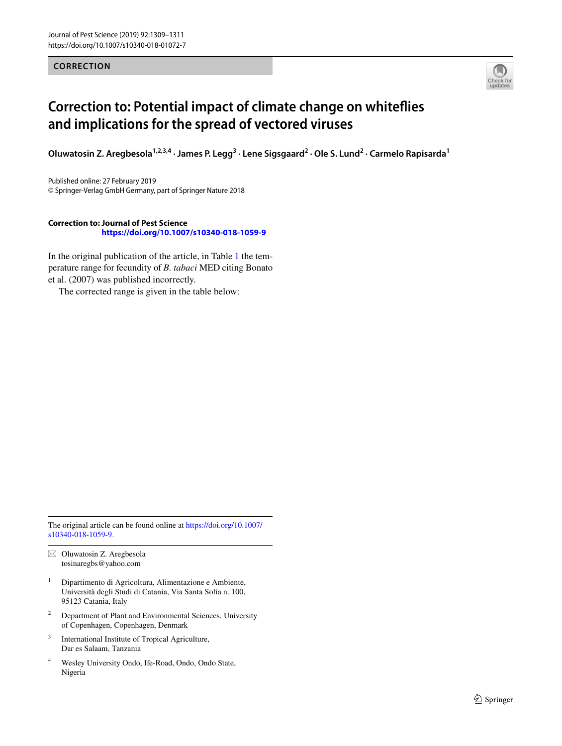**CORRECTION**



## **Correction to: Potential impact of climate change on whitefies and implications for the spread of vectored viruses**

Oluwatosin Z. Aregbesola<sup>1,2,3,4</sup> · James P. Legg<sup>3</sup> · Lene Sigsgaard<sup>2</sup> · Ole S. Lund<sup>2</sup> · Carmelo Rapisarda<sup>1</sup>

Published online: 27 February 2019 © Springer-Verlag GmbH Germany, part of Springer Nature 2018

## **Correction to: Journal of Pest Science <https://doi.org/10.1007/s10340-018-1059-9>**

In the original publication of the article, in Table [1](#page-1-0) the temperature range for fecundity of *B. tabaci* MED citing Bonato et al. (2007) was published incorrectly.

The corrected range is given in the table below:

The original article can be found online at [https://doi.org/10.1007/](https://doi.org/10.1007/s10340-018-1059-9) [s10340-018-1059-9.](https://doi.org/10.1007/s10340-018-1059-9)

 $\boxtimes$  Oluwatosin Z. Aregbesola tosinaregbs@yahoo.com

- <sup>1</sup> Dipartimento di Agricoltura, Alimentazione e Ambiente, Università degli Studi di Catania, Via Santa Sofa n. 100, 95123 Catania, Italy
- <sup>2</sup> Department of Plant and Environmental Sciences, University of Copenhagen, Copenhagen, Denmark
- <sup>3</sup> International Institute of Tropical Agriculture, Dar es Salaam, Tanzania
- <sup>4</sup> Wesley University Ondo, Ife-Road, Ondo, Ondo State, Nigeria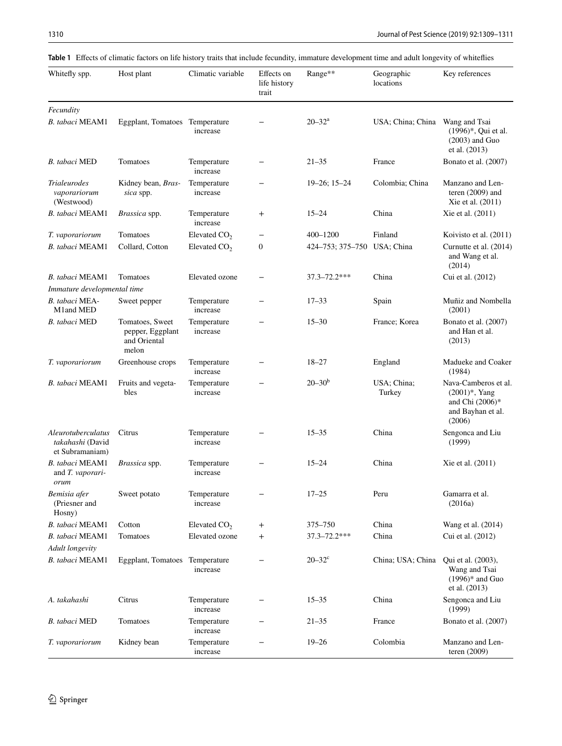<span id="page-1-0"></span>

|  | Table 1 Effects of climatic factors on life history traits that include fecundity, immature development time and adult longevity of whiteflies |  |  |  |
|--|------------------------------------------------------------------------------------------------------------------------------------------------|--|--|--|
|--|------------------------------------------------------------------------------------------------------------------------------------------------|--|--|--|

| Whitefly spp.                                             | Host plant                                                   | Climatic variable        | Effects on<br>life history<br>trait | Range**                     | Geographic<br>locations         | Key references                                                                                |
|-----------------------------------------------------------|--------------------------------------------------------------|--------------------------|-------------------------------------|-----------------------------|---------------------------------|-----------------------------------------------------------------------------------------------|
| Fecundity                                                 |                                                              |                          |                                     |                             |                                 |                                                                                               |
| B. tabaci MEAM1                                           | Eggplant, Tomatoes Temperature                               | increase                 |                                     | $20 - 32^a$                 | USA; China; China Wang and Tsai | (1996)*, Qui et al.<br>$(2003)$ and Guo<br>et al. (2013)                                      |
| <b>B.</b> tabaci MED                                      | Tomatoes                                                     | Temperature<br>increase  |                                     | $21 - 35$                   | France                          | Bonato et al. (2007)                                                                          |
| <i>Trialeurodes</i><br>vaporariorum<br>(Westwood)         | Kidney bean, Bras-<br>sica spp.                              | Temperature<br>increase  |                                     | $19 - 26$ ; $15 - 24$       | Colombia; China                 | Manzano and Len-<br>teren $(2009)$ and<br>Xie et al. (2011)                                   |
| B. tabaci MEAM1                                           | <i>Brassica</i> spp.                                         | Temperature<br>increase  | $^{+}$                              | $15 - 24$                   | China                           | Xie et al. (2011)                                                                             |
| T. vaporariorum                                           | Tomatoes                                                     | Elevated CO <sub>2</sub> | -                                   | $400 - 1200$                | Finland                         | Koivisto et al. (2011)                                                                        |
| B. tabaci MEAM1                                           | Collard, Cotton                                              | Elevated $CO2$           | $\boldsymbol{0}$                    | 424-753; 375-750 USA; China |                                 | Curnutte et al. (2014)<br>and Wang et al.<br>(2014)                                           |
| B. tabaci MEAM1                                           | Tomatoes                                                     | Elevated ozone           |                                     | $37.3 - 72.2***$            | China                           | Cui et al. (2012)                                                                             |
| Immature developmental time                               |                                                              |                          |                                     |                             |                                 |                                                                                               |
| B. tabaci MEA-<br>M1and MED                               | Sweet pepper                                                 | Temperature<br>increase  |                                     | $17 - 33$                   | Spain                           | Muñiz and Nombella<br>(2001)                                                                  |
| B. tabaci MED                                             | Tomatoes, Sweet<br>pepper, Eggplant<br>and Oriental<br>melon | Temperature<br>increase  |                                     | $15 - 30$                   | France; Korea                   | Bonato et al. (2007)<br>and Han et al.<br>(2013)                                              |
| T. vaporariorum                                           | Greenhouse crops                                             | Temperature<br>increase  |                                     | $18 - 27$                   | England                         | Madueke and Coaker<br>(1984)                                                                  |
| B. tabaci MEAM1                                           | Fruits and vegeta-<br>bles                                   | Temperature<br>increase  |                                     | $20 - 30^{b}$               | USA; China;<br>Turkey           | Nava-Camberos et al.<br>$(2001)^*$ , Yang<br>and Chi $(2006)*$<br>and Bayhan et al.<br>(2006) |
| Aleurotuberculatus<br>takahashi (David<br>et Subramaniam) | Citrus                                                       | Temperature<br>increase  |                                     | $15 - 35$                   | China                           | Sengonca and Liu<br>(1999)                                                                    |
| B. tabaci MEAM1<br>and T. vaporari-<br>orum               | Brassica spp.                                                | Temperature<br>increase  |                                     | $15 - 24$                   | China                           | Xie et al. (2011)                                                                             |
| Bemisia afer<br>(Priesner and<br>Hosny)                   | Sweet potato                                                 | Temperature<br>increase  |                                     | $17 - 25$                   | Peru                            | Gamarra et al.<br>(2016a)                                                                     |
| B. tabaci MEAM1                                           | Cotton                                                       | Elevated $CO2$           | $\mathrm{+}$                        | 375-750                     | China                           | Wang et al. (2014)                                                                            |
| B. tabaci MEAM1                                           | Tomatoes                                                     | Elevated ozone           | $^{+}$                              | 37.3-72.2***                | China                           | Cui et al. (2012)                                                                             |
| <b>Adult</b> longevity                                    |                                                              |                          |                                     |                             |                                 |                                                                                               |
| B. tabaci MEAM1                                           | Eggplant, Tomatoes Temperature                               | increase                 |                                     | $20 - 32$ <sup>c</sup>      | China; USA; China               | Qui et al. (2003),<br>Wang and Tsai<br>$(1996)$ * and Guo<br>et al. (2013)                    |
| A. takahashi                                              | Citrus                                                       | Temperature<br>increase  |                                     | $15 - 35$                   | China                           | Sengonca and Liu<br>(1999)                                                                    |
| B. tabaci MED                                             | Tomatoes                                                     | Temperature<br>increase  |                                     | $21 - 35$                   | France                          | Bonato et al. (2007)                                                                          |
| T. vaporariorum                                           | Kidney bean                                                  | Temperature<br>increase  |                                     | $19 - 26$                   | Colombia                        | Manzano and Len-<br>teren (2009)                                                              |